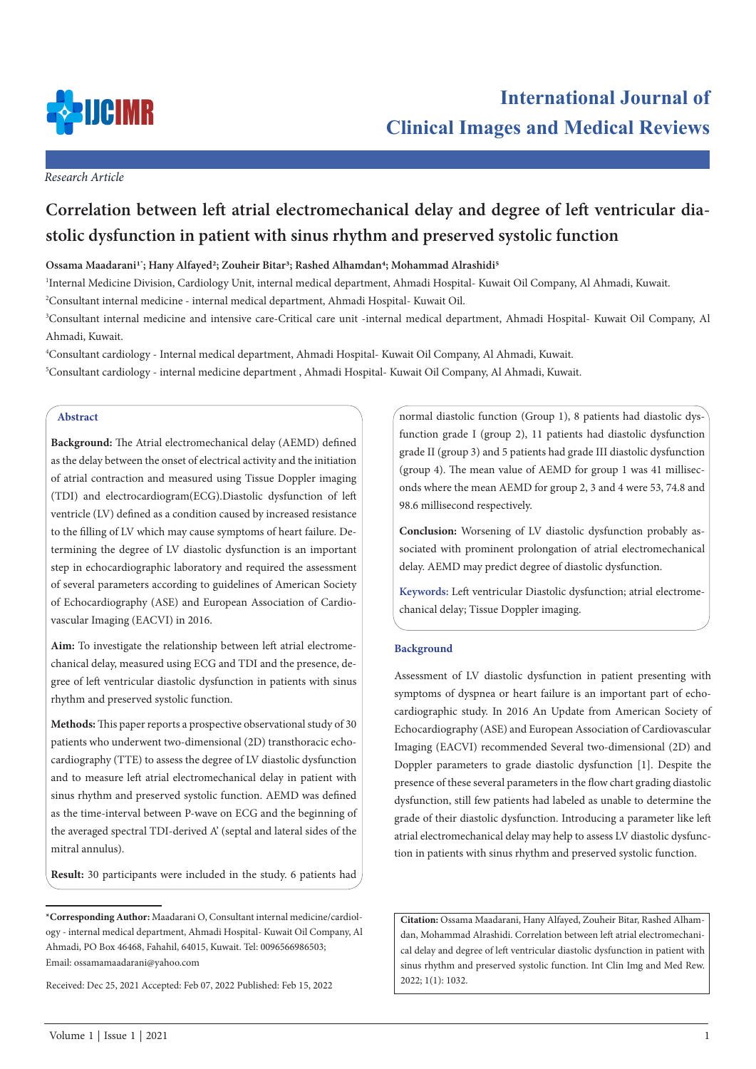

# *Research Article*

# **Correlation between left atrial electromechanical delay and degree of left ventricular diastolic dysfunction in patient with sinus rhythm and preserved systolic function**

Ossama Maadarani<sup>1</sup>'; Hany Alfayed<sup>2</sup>; Zouheir Bitar<sup>3</sup>; Rashed Alhamdan<sup>4</sup>; Mohammad Alrashidi<sup>5</sup>

1 Internal Medicine Division, Cardiology Unit, internal medical department, Ahmadi Hospital- Kuwait Oil Company, Al Ahmadi, Kuwait.

2 Consultant internal medicine - internal medical department, Ahmadi Hospital- Kuwait Oil.

3 Consultant internal medicine and intensive care-Critical care unit -internal medical department, Ahmadi Hospital- Kuwait Oil Company, Al Ahmadi, Kuwait.

4 Consultant cardiology - Internal medical department, Ahmadi Hospital- Kuwait Oil Company, Al Ahmadi, Kuwait.

5 Consultant cardiology - internal medicine department , Ahmadi Hospital- Kuwait Oil Company, Al Ahmadi, Kuwait.

# **Abstract**

**Background:** The Atrial electromechanical delay (AEMD) defined as the delay between the onset of electrical activity and the initiation of atrial contraction and measured using Tissue Doppler imaging (TDI) and electrocardiogram(ECG).Diastolic dysfunction of left ventricle (LV) defined as a condition caused by increased resistance to the filling of LV which may cause symptoms of heart failure. Determining the degree of LV diastolic dysfunction is an important step in echocardiographic laboratory and required the assessment of several parameters according to guidelines of American Society of Echocardiography (ASE) and European Association of Cardiovascular Imaging (EACVI) in 2016.

**Aim:** To investigate the relationship between left atrial electromechanical delay, measured using ECG and TDI and the presence, degree of left ventricular diastolic dysfunction in patients with sinus rhythm and preserved systolic function.

**Methods:** This paper reports a prospective observational study of 30 patients who underwent two-dimensional (2D) transthoracic echocardiography (TTE) to assess the degree of LV diastolic dysfunction and to measure left atrial electromechanical delay in patient with sinus rhythm and preserved systolic function. AEMD was defined as the time-interval between P-wave on ECG and the beginning of the averaged spectral TDI-derived A' (septal and lateral sides of the mitral annulus).

**Result:** 30 participants were included in the study. 6 patients had

Received: Dec 25, 2021 Accepted: Feb 07, 2022 Published: Feb 15, 2022

normal diastolic function (Group 1), 8 patients had diastolic dysfunction grade I (group 2), 11 patients had diastolic dysfunction grade II (group 3) and 5 patients had grade III diastolic dysfunction (group 4). The mean value of AEMD for group 1 was 41 milliseconds where the mean AEMD for group 2, 3 and 4 were 53, 74.8 and 98.6 millisecond respectively.

**Conclusion:** Worsening of LV diastolic dysfunction probably associated with prominent prolongation of atrial electromechanical delay. AEMD may predict degree of diastolic dysfunction.

**Keywords:** Left ventricular Diastolic dysfunction; atrial electromechanical delay; Tissue Doppler imaging.

### **Background**

Assessment of LV diastolic dysfunction in patient presenting with symptoms of dyspnea or heart failure is an important part of echocardiographic study. In 2016 An Update from American Society of Echocardiography (ASE) and European Association of Cardiovascular Imaging (EACVI) recommended Several two-dimensional (2D) and Doppler parameters to grade diastolic dysfunction [1]. Despite the presence of these several parameters in the flow chart grading diastolic dysfunction, still few patients had labeled as unable to determine the grade of their diastolic dysfunction. Introducing a parameter like left atrial electromechanical delay may help to assess LV diastolic dysfunction in patients with sinus rhythm and preserved systolic function.

**Citation:** Ossama Maadarani, Hany Alfayed, Zouheir Bitar, Rashed Alhamdan, Mohammad Alrashidi. Correlation between left atrial electromechanical delay and degree of left ventricular diastolic dysfunction in patient with sinus rhythm and preserved systolic function. Int Clin Img and Med Rew. 2022; 1(1): 1032.

**<sup>\*</sup>Corresponding Author:** Maadarani O, Consultant internal medicine/cardiology - internal medical department, Ahmadi Hospital- Kuwait Oil Company, Al Ahmadi, PO Box 46468, Fahahil, 64015, Kuwait. Tel: 0096566986503; Email: ossamamaadarani@yahoo.com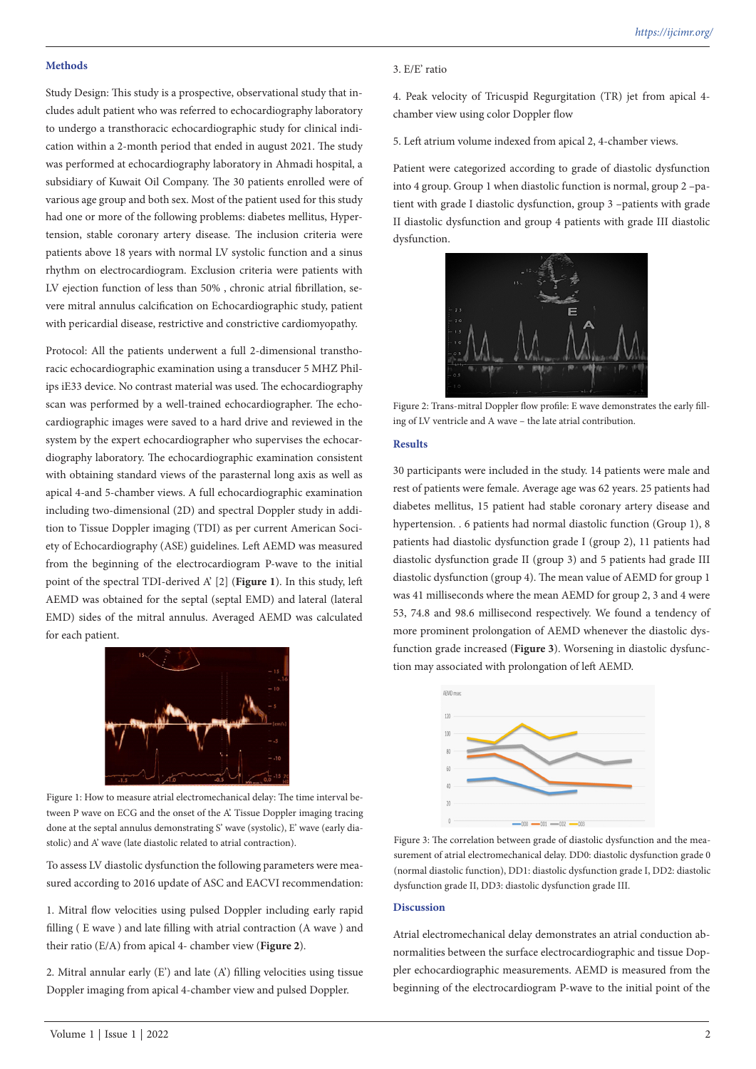### **Methods**

Study Design: This study is a prospective, observational study that includes adult patient who was referred to echocardiography laboratory to undergo a transthoracic echocardiographic study for clinical indication within a 2-month period that ended in august 2021. The study was performed at echocardiography laboratory in Ahmadi hospital, a subsidiary of Kuwait Oil Company. The 30 patients enrolled were of various age group and both sex. Most of the patient used for this study had one or more of the following problems: diabetes mellitus, Hypertension, stable coronary artery disease. The inclusion criteria were patients above 18 years with normal LV systolic function and a sinus rhythm on electrocardiogram. Exclusion criteria were patients with LV ejection function of less than 50% , chronic atrial fibrillation, severe mitral annulus calcification on Echocardiographic study, patient with pericardial disease, restrictive and constrictive cardiomyopathy.

Protocol: All the patients underwent a full 2-dimensional transthoracic echocardiographic examination using a transducer 5 MHZ Philips iE33 device. No contrast material was used. The echocardiography scan was performed by a well-trained echocardiographer. The echocardiographic images were saved to a hard drive and reviewed in the system by the expert echocardiographer who supervises the echocardiography laboratory. The echocardiographic examination consistent with obtaining standard views of the parasternal long axis as well as apical 4-and 5-chamber views. A full echocardiographic examination including two-dimensional (2D) and spectral Doppler study in addition to Tissue Doppler imaging (TDI) as per current American Society of Echocardiography (ASE) guidelines. Left AEMD was measured from the beginning of the electrocardiogram P-wave to the initial point of the spectral TDI-derived A' [2] (**Figure 1**). In this study, left AEMD was obtained for the septal (septal EMD) and lateral (lateral EMD) sides of the mitral annulus. Averaged AEMD was calculated for each patient.



Figure 1: How to measure atrial electromechanical delay: The time interval between P wave on ECG and the onset of the A'. Tissue Doppler imaging tracing done at the septal annulus demonstrating S' wave (systolic), E' wave (early diastolic) and A' wave (late diastolic related to atrial contraction).

To assess LV diastolic dysfunction the following parameters were measured according to 2016 update of ASC and EACVI recommendation:

1. Mitral flow velocities using pulsed Doppler including early rapid filling ( E wave ) and late filling with atrial contraction (A wave ) and their ratio (E/A) from apical 4- chamber view (**Figure 2**).

2. Mitral annular early (E') and late (A') filling velocities using tissue Doppler imaging from apical 4-chamber view and pulsed Doppler.

4. Peak velocity of Tricuspid Regurgitation (TR) jet from apical 4 chamber view using color Doppler flow

5. Left atrium volume indexed from apical 2, 4-chamber views.

Patient were categorized according to grade of diastolic dysfunction into 4 group. Group 1 when diastolic function is normal, group 2 –patient with grade I diastolic dysfunction, group 3 –patients with grade II diastolic dysfunction and group 4 patients with grade III diastolic dysfunction.



Figure 2: Trans-mitral Doppler flow profile: E wave demonstrates the early filling of LV ventricle and A wave – the late atrial contribution.

#### **Results**

30 participants were included in the study. 14 patients were male and rest of patients were female. Average age was 62 years. 25 patients had diabetes mellitus, 15 patient had stable coronary artery disease and hypertension. . 6 patients had normal diastolic function (Group 1), 8 patients had diastolic dysfunction grade I (group 2), 11 patients had diastolic dysfunction grade II (group 3) and 5 patients had grade III diastolic dysfunction (group 4). The mean value of AEMD for group 1 was 41 milliseconds where the mean AEMD for group 2, 3 and 4 were 53, 74.8 and 98.6 millisecond respectively. We found a tendency of more prominent prolongation of AEMD whenever the diastolic dysfunction grade increased (**Figure 3**). Worsening in diastolic dysfunction may associated with prolongation of left AEMD.



Figure 3: The correlation between grade of diastolic dysfunction and the measurement of atrial electromechanical delay. DD0: diastolic dysfunction grade 0 (normal diastolic function), DD1: diastolic dysfunction grade I, DD2: diastolic dysfunction grade II, DD3: diastolic dysfunction grade III.

# **Discussion**

Atrial electromechanical delay demonstrates an atrial conduction abnormalities between the surface electrocardiographic and tissue Doppler echocardiographic measurements. AEMD is measured from the beginning of the electrocardiogram P-wave to the initial point of the